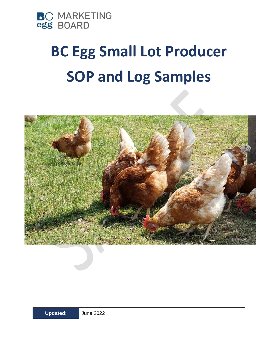

# **BC Egg Small Lot Producer SOP and Log Samples**



**Updated:** June 2022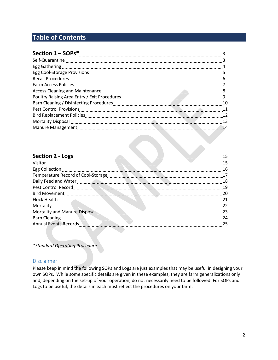# **Table of Contents**

| <b>Recall Procedures</b>                                                                                        | $6\overline{6}$ |
|-----------------------------------------------------------------------------------------------------------------|-----------------|
| Farm Access Policies                                                                                            |                 |
|                                                                                                                 | - 8             |
|                                                                                                                 |                 |
|                                                                                                                 | 10              |
| Pest Control Provisions                                                                                         | 11              |
|                                                                                                                 | 12              |
| Mortality Disposal 23 and 23 and 24 and 25 and 26 and 26 and 26 and 26 and 26 and 26 and 26 and 26 and 26 and 2 |                 |
|                                                                                                                 | 14              |

#### **Section 2 - Logs** 15

|                                                                                                  | 15  |
|--------------------------------------------------------------------------------------------------|-----|
| Egg Collection 26                                                                                |     |
| Temperature Record of Cool-Storage<br><u> 1990 - Januar Start, Amerikaansk politik (f. 1980)</u> | 17  |
|                                                                                                  | 18  |
| Pest Control Record <b>Control Record Control Control Control Control Pest</b> Control Record    | 19  |
|                                                                                                  | -20 |
|                                                                                                  | 21  |
|                                                                                                  | 22  |
| Mortality and Manure Disposal                                                                    | -23 |
|                                                                                                  | 24  |
| <b>Annual Events Records</b>                                                                     | 25  |
|                                                                                                  |     |

*\*Standard Operating Procedure*

#### Disclaimer

Please keep in mind the following SOPs and Logs are just examples that may be useful in designing your own SOPs. While some specific details are given in these examples, they are farm generalizations only and, depending on the set-up of your operation, do not necessarily need to be followed. For SOPs and Logs to be useful, the details in each must reflect the procedures on your farm.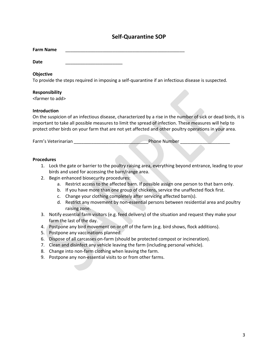## **Self-Quarantine SOP**

| <b>Farm Name</b> |  |
|------------------|--|
|------------------|--|

**Date** \_\_\_\_\_\_\_\_\_\_\_\_\_\_\_\_\_\_\_\_\_\_\_

#### **Objective**

To provide the steps required in imposing a self-quarantine if an infectious disease is suspected.

#### **Responsibility**

<farmer to add>

#### **Introduction**

On the suspicion of an infectious disease, characterized by a rise in the number of sick or dead birds, it is important to take all possible measures to limit the spread of infection. These measures will help to protect other birds on your farm that are not yet affected and other poultry operations in your area.

Farm's Veterinarian **Example 2018** Phone Number 2018

- 1. Lock the gate or barrier to the poultry raising area, everything beyond entrance, leading to your birds and used for accessing the barn/range area.
- 2. Begin enhanced biosecurity procedures:
	- a. Restrict access to the affected barn. If possible assign one person to that barn only.
	- b. If you have more than one group of chickens, service the unaffected flock first.
	- c. Change your clothing completely after servicing affected barn(s).
	- d. Restrict any movement by non-essential persons between residential area and poultry raising zone.
- 3. Notify essential farm visitors (e.g. feed delivery) of the situation and request they make your farm the last of the day.
- 4. Postpone any bird movement on or off of the farm (e.g. bird shows, flock additions).
- 5. Postpone any vaccinations planned.
- 6. Dispose of all carcasses on-farm (should be protected compost or incineration).
- 7. Clean and disinfect any vehicle leaving the farm (including personal vehicle).
- 8. Change into non-farm clothing when leaving the farm.
- 9. Postpone any non-essential visits to or from other farms.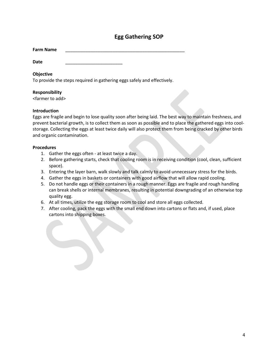## **Egg Gathering SOP**

| <b>Farm Name</b> |  |  |
|------------------|--|--|
|------------------|--|--|

**Date** \_\_\_\_\_\_\_\_\_\_\_\_\_\_\_\_\_\_\_\_\_\_\_

#### **Objective**

To provide the steps required in gathering eggs safely and effectively.

#### **Responsibility**

<farmer to add>

#### **Introduction**

Eggs are fragile and begin to lose quality soon after being laid. The best way to maintain freshness, and prevent bacterial growth, is to collect them as soon as possible and to place the gathered eggs into coolstorage. Collecting the eggs at least twice daily will also protect them from being cracked by other birds and organic contamination.

- 1. Gather the eggs often at least twice a day.
- 2. Before gathering starts, check that cooling room is in receiving condition (cool, clean, sufficient space).
- 3. Entering the layer barn, walk slowly and talk calmly to avoid unnecessary stress for the birds.
- 4. Gather the eggs in baskets or containers with good airflow that will allow rapid cooling.
- 5. Do not handle eggs or their containers in a rough manner. Eggs are fragile and rough handling can break shells or internal membranes, resulting in potential downgrading of an otherwise top quality egg.
- 6. At all times, utilize the egg storage room to cool and store all eggs collected.
- 7. After cooling, pack the eggs with the small end down into cartons or flats and, if used, place cartons into shipping boxes.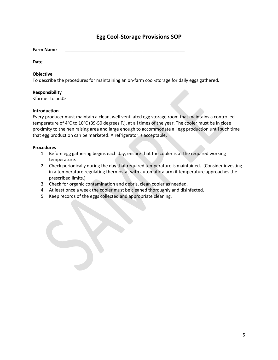## **Egg Cool-Storage Provisions SOP**

**Date** \_\_\_\_\_\_\_\_\_\_\_\_\_\_\_\_\_\_\_\_\_\_\_

#### **Objective**

To describe the procedures for maintaining an on-farm cool-storage for daily eggs gathered.

#### **Responsibility**

<farmer to add>

#### **Introduction**

Every producer must maintain a clean, well ventilated egg storage room that maintains a controlled temperature of 4°C to 10°C (39-50 degrees F.), at all times of the year. The cooler must be in close proximity to the hen raising area and large enough to accommodate all egg production until such time that egg production can be marketed. A refrigerator is acceptable.

- 1. Before egg gathering begins each day, ensure that the cooler is at the required working temperature.
- 2. Check periodically during the day that required temperature is maintained. (Consider investing in a temperature regulating thermostat with automatic alarm if temperature approaches the prescribed limits.)
- 3. Check for organic contamination and debris, clean cooler as needed.
- 4. At least once a week the cooler must be cleaned thoroughly and disinfected.
- 5. Keep records of the eggs collected and appropriate cleaning.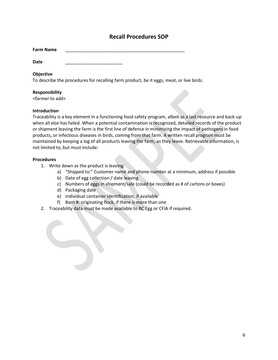## **Recall Procedures SOP**

| <b>Farm Name</b> |  |
|------------------|--|
|------------------|--|

**Date** \_\_\_\_\_\_\_\_\_\_\_\_\_\_\_\_\_\_\_\_\_\_\_

#### **Objective**

To describe the procedures for recalling farm product, be it eggs, meat, or live birds.

#### **Responsibility**

<farmer to add>

#### **Introduction**

Traceability is a key element in a functioning food safety program, albeit as a last resource and back-up when all else has failed. When a potential contamination is recognized, detailed records of the product or shipment leaving the farm is the first line of defence in minimizing the impact of pathogens in food products, or infectious diseases in birds, coming from that farm. A written recall program must be maintained by keeping a log of all products leaving the farm, as they leave. Retrievable information, is not limited to, but must include:

- 1. Write down as the product is leaving:
	- a) "Shipped to:" Customer name and phone number at a minimum, address if possible
	- b) Date of egg collection / date leaving
	- c) Numbers of eggs in shipment/sale (could be recorded as # of cartons or boxes)
	- d) Packaging date
	- e) Individual container identification, if available
	- f) Barn #: originating flock, if there is more than one
- 2. Traceability data must be made available to BC Egg or CFIA if required.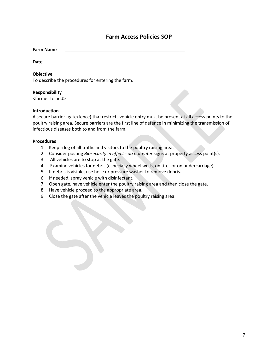## **Farm Access Policies SOP**

| <b>Farm Name</b> |  |
|------------------|--|
|------------------|--|

**Date** \_\_\_\_\_\_\_\_\_\_\_\_\_\_\_\_\_\_\_\_\_\_\_

#### **Objective**

To describe the procedures for entering the farm.

#### **Responsibility**

<farmer to add>

#### **Introduction**

A secure barrier (gate/fence) that restricts vehicle entry must be present at all access points to the poultry raising area. Secure barriers are the first line of defence in minimizing the transmission of infectious diseases both to and from the farm.

- 1. Keep a log of all traffic and visitors to the poultry raising area.
- 2. Consider posting *Biosecurity in effect - do not enter* signs at property access point(s).
- 3. All vehicles are to stop at the gate.
- 4. Examine vehicles for debris (especially wheel wells, on tires or on undercarriage).
- 5. If debris is visible, use hose or pressure washer to remove debris.
- 6. If needed, spray vehicle with disinfectant.
- 7. Open gate, have vehicle enter the poultry raising area and then close the gate.
- 8. Have vehicle proceed to the appropriate area.
- 9. Close the gate after the vehicle leaves the poultry raising area.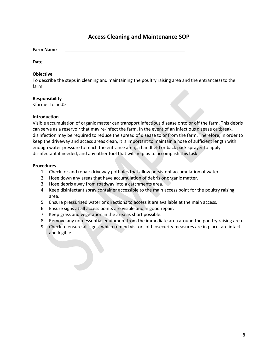## **Access Cleaning and Maintenance SOP**

| <b>Farm Name</b> |  |
|------------------|--|
|------------------|--|

**Date** \_\_\_\_\_\_\_\_\_\_\_\_\_\_\_\_\_\_\_\_\_\_\_

#### **Objective**

To describe the steps in cleaning and maintaining the poultry raising area and the entrance(s) to the farm.

#### **Responsibility**

<farmer to add>

#### **Introduction**

Visible accumulation of organic matter can transport infectious disease onto or off the farm. This debris can serve as a reservoir that may re-infect the farm. In the event of an infectious disease outbreak, disinfection may be required to reduce the spread of disease to or from the farm. Therefore, in order to keep the driveway and access areas clean, it is important to maintain a hose of sufficient length with enough water pressure to reach the entrance area, a handheld or back pack sprayer to apply disinfectant if needed, and any other tool that will help us to accomplish this task.

- 1. Check for and repair driveway potholes that allow persistent accumulation of water.
- 2. Hose down any areas that have accumulation of debris or organic matter.
- 3. Hose debris away from roadway into a catchments area.
- 4. Keep disinfectant spray container accessible to the main access point for the poultry raising area.
- 5. Ensure pressurized water or directions to access it are available at the main access.
- 6. Ensure signs at all access points are visible and in good repair.
- 7. Keep grass and vegetation in the area as short possible.
- 8. Remove any non-essential equipment from the immediate area around the poultry raising area.
- 9. Check to ensure all signs, which remind visitors of biosecurity measures are in place, are intact and legible.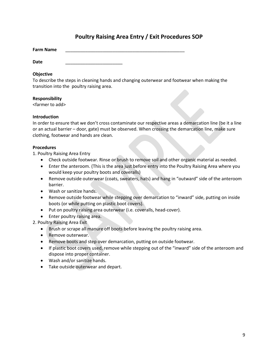## **Poultry Raising Area Entry / Exit Procedures SOP**

**Farm Name** \_\_\_\_\_\_\_\_\_\_\_\_\_\_\_\_\_\_\_\_\_\_\_\_\_\_\_\_\_\_\_\_\_\_\_\_\_\_\_\_\_\_\_\_\_\_\_\_

**Date** \_\_\_\_\_\_\_\_\_\_\_\_\_\_\_\_\_\_\_\_\_\_\_

#### **Objective**

To describe the steps in cleaning hands and changing outerwear and footwear when making the transition into the poultry raising area.

#### **Responsibility**

<farmer to add>

#### **Introduction**

In order to ensure that we don't cross contaminate our respective areas a demarcation line (be it a line or an actual barrier – door, gate) must be observed. When crossing the demarcation line, make sure clothing, footwear and hands are clean.

#### **Procedures**

1. Poultry Raising Area Entry

- Check outside footwear. Rinse or brush to remove soil and other organic material as needed.
- Enter the anteroom. (This is the area just before entry into the Poultry Raising Area where you would keep your poultry boots and coveralls)
- Remove outside outerwear (coats, sweaters, hats) and hang in "outward" side of the anteroom barrier.
- Wash or sanitize hands.
- Remove outside footwear while stepping over demarcation to "inward" side, putting on inside boots (or while putting on plastic boot covers).
- Put on poultry raising area outerwear (i.e. coveralls, head-cover).
- Enter poultry raising area.
- 2. Poultry Raising Area Exit
	- Brush or scrape all manure off boots before leaving the poultry raising area.
	- Remove outerwear.
	- Remove boots and step over demarcation, putting on outside footwear.
	- If plastic boot covers used, remove while stepping out of the "inward" side of the anteroom and dispose into proper container.
	- Wash and/or sanitize hands.
	- Take outside outerwear and depart.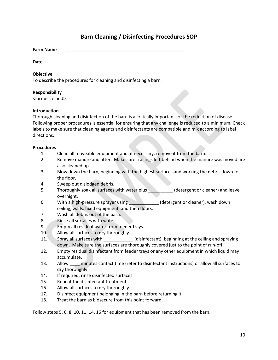## **Barn Cleaning / Disinfecting Procedures SOP**

| <b>Farm Name</b> |  |
|------------------|--|
|------------------|--|

**Date** \_\_\_\_\_\_\_\_\_\_\_\_\_\_\_\_\_\_\_\_\_\_\_

#### **Objective**

To describe the procedures for cleaning and disinfecting a barn.

#### **Responsibility**

<farmer to add>

#### **Introduction**

Thorough cleaning and disinfection of the barn is a critically important for the reduction of disease. Following proper procedures is essential for ensuring that any challenge is reduced to a minimum. Check labels to make sure that cleaning agents and disinfectants are compatible and mix according to label directions.

#### **Procedures**

- 1. Clean all moveable equipment and, if necessary, remove it from the barn.
- 2. Remove manure and litter. Make sure trailings left behind when the manure was moved are also cleaned up.
- 3. Blow down the barn, beginning with the highest surfaces and working the debris down to the floor.
- 4. Sweep out dislodged debris.
- 5. Thoroughly soak all surfaces with water plus (detergent or cleaner) and leave overnight.
- 6. With a high-pressure sprayer using \_\_\_\_\_\_\_\_\_\_\_\_\_\_(detergent or cleaner), wash down ceiling, walls, fixed equipment, and then floors.
- 7. Wash all debris out of the barn.
- 8. Rinse all surfaces with water.
- 9. Empty all residual water from feeder trays.
- 10. Allow all surfaces to dry thoroughly.
- 11. Spray all surfaces with \_\_\_\_\_\_\_\_\_\_\_\_ (disinfectant), beginning at the ceiling and spraying down. Make sure the surfaces are thoroughly covered just to the point of run-off.
- 12. Empty residual disinfectant from feeder trays or any other equipment in which liquid may accumulate.
- 13. Allow minutes contact time (refer to disinfectant instructions) or allow all surfaces to dry thoroughly.
- 14. If required, rinse disinfected surfaces.
- 15. Repeat the disinfectant treatment.
- 16. Allow all surfaces to dry thoroughly.
- 17. Disinfect equipment belonging in the barn before returning it.
- 18. Treat the barn as biosecure from this point forward.

Follow steps 5, 6, 8, 10, 11, 14, 16 for equipment that has been removed from the barn.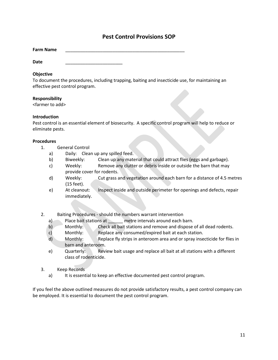## **Pest Control Provisions SOP**

| <b>Farm Name</b> |  |
|------------------|--|
|------------------|--|

**Date** \_\_\_\_\_\_\_\_\_\_\_\_\_\_\_\_\_\_\_\_\_\_\_

#### **Objective**

To document the procedures, including trapping, baiting and insecticide use, for maintaining an effective pest control program.

#### **Responsibility**

<farmer to add>

#### **Introduction**

Pest control is an essential element of biosecurity. A specific control program will help to reduce or eliminate pests.

#### **Procedures**

- 1. General Control
	- a) Daily: Clean up any spilled feed.
	- b) Biweekly: Clean up any material that could attract flies (eggs and garbage).
	- c) Weekly: Remove any clutter or debris inside or outside the barn that may provide cover for rodents.
	- d) Weekly: Cut grass and vegetation around each barn for a distance of 4.5 metres (15 feet).
	- e) At cleanout: Inspect inside and outside perimeter for openings and defects, repair immediately.
- 2. Baiting Procedures should the numbers warrant intervention
	- a) Place bait stations at early metre intervals around each barn.
	- b) Monthly: Check all bait stations and remove and dispose of all dead rodents.
	- c) Monthly: Replace any consumed/expired bait at each station.
	- d) Monthly: Replace fly strips in anteroom area and or spray insecticide for flies in barn and anteroom.
	- e) Quarterly: Review bait usage and replace all bait at all stations with a different class of rodenticide.
- 3. Keep Records
	- a) It is essential to keep an effective documented pest control program.

If you feel the above outlined measures do not provide satisfactory results, a pest control company can be employed. It is essential to document the pest control program.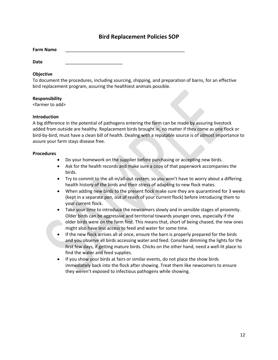## **Bird Replacement Policies SOP**

| <b>Farm Name</b> |  |
|------------------|--|
|                  |  |

**Date** \_\_\_\_\_\_\_\_\_\_\_\_\_\_\_\_\_\_\_\_\_\_\_

#### **Objective**

To document the procedures, including sourcing, shipping, and preparation of barns, for an effective bird replacement program, assuring the healthiest animals possible.

#### **Responsibility**

<farmer to add>

#### **Introduction**

A big difference in the potential of pathogens entering the farm can be made by assuring livestock added from outside are healthy. Replacement birds brought in, no matter if they come as one flock or bird-by-bird, must have a clean bill of health. Dealing with a reputable source is of utmost importance to assure your farm stays disease free.

- Do your homework on the supplier before purchasing or accepting new birds.
- Ask for the health records and make sure a copy of that paperwork accompanies the birds.
- Try to commit to the all-in/all-out system, so you won't have to worry about a differing health history of the birds and their stress of adapting to new flock mates.
- When adding new birds to the present flock make sure they are quarantined for 3 weeks (kept in a separate pen, out of reach of your current flock) before introducing them to your current flock.
- Take your time to introduce the newcomers slowly and in sensible stages of proximity. Older birds can be aggressive and territorial towards younger ones, especially if the older birds were on the farm first. This means that, short of being chased, the new ones might also have less access to feed and water for some time.
- If the new flock arrives all at once, ensure the barn is properly prepared for the birds and you observe all birds accessing water and feed. Consider dimming the lights for the first few days, if getting mature birds. Chicks on the other hand, need a well-lit place to find the water and feed supplies.
- If you show your birds at fairs or similar events, do not place the show birds immediately back into the flock after showing. Treat them like newcomers to ensure they weren't exposed to infectious pathogens while showing.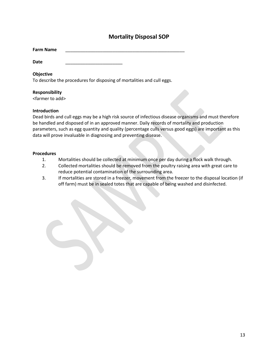## **Mortality Disposal SOP**

| <b>Farm Name</b> |  |
|------------------|--|
|------------------|--|

**Date** \_\_\_\_\_\_\_\_\_\_\_\_\_\_\_\_\_\_\_\_\_\_\_

#### **Objective**

To describe the procedures for disposing of mortalities and cull eggs.

#### **Responsibility**

<farmer to add>

#### **Introduction**

Dead birds and cull eggs may be a high risk source of infectious disease organisms and must therefore be handled and disposed of in an approved manner. Daily records of mortality and production parameters, such as egg quantity and quality (percentage culls versus good eggs) are important as this data will prove invaluable in diagnosing and preventing disease.

- 1. Mortalities should be collected at minimum once per day during a flock walk through.
- 2. Collected mortalities should be removed from the poultry raising area with great care to reduce potential contamination of the surrounding area.
- 3. If mortalities are stored in a freezer, movement from the freezer to the disposal location (if off farm) must be in sealed totes that are capable of being washed and disinfected.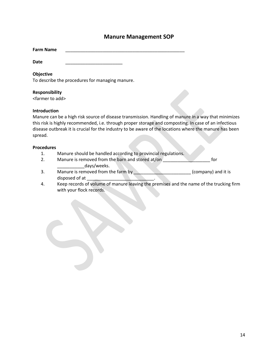## **Manure Management SOP**

| <b>Farm Name</b> |  |
|------------------|--|
|------------------|--|

**Date** \_\_\_\_\_\_\_\_\_\_\_\_\_\_\_\_\_\_\_\_\_\_\_

#### **Objective**

To describe the procedures for managing manure.

#### **Responsibility**

<farmer to add>

#### **Introduction**

Manure can be a high risk source of disease transmission. Handling of manure in a way that minimizes this risk is highly recommended, i.e. through proper storage and composting. In case of an infectious disease outbreak it is crucial for the industry to be aware of the locations where the manure has been spread.

- 1. Manure should be handled according to provincial regulations.
- 2. Manure is removed from the barn and stored at/on **the form** for days/weeks.
- 3. Manure is removed from the farm by **EXALUARY COMPANY** and it is disposed of at \_\_\_\_\_\_\_\_\_\_\_\_\_\_\_\_\_\_\_\_\_\_\_\_\_\_\_.
- 4. Keep records of volume of manure leaving the premises and the name of the trucking firm with your flock records.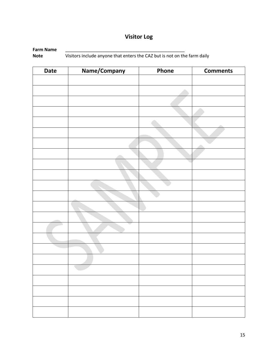# **Visitor Log**

**Farm Name** \_\_\_\_\_\_\_\_\_\_\_\_\_\_\_\_\_\_\_\_\_\_\_\_\_\_\_\_\_\_\_\_\_\_\_\_\_\_\_\_\_\_\_\_\_\_\_\_ **Note** Visitors include anyone that enters the CAZ but is not on the farm daily

| <b>Date</b> | Name/Company | Phone | <b>Comments</b> |
|-------------|--------------|-------|-----------------|
|             |              |       |                 |
|             |              |       |                 |
|             |              |       |                 |
|             |              |       |                 |
|             |              |       |                 |
|             |              |       |                 |
|             |              |       |                 |
|             |              |       |                 |
|             |              |       |                 |
|             |              |       |                 |
|             |              |       |                 |
|             |              |       |                 |
|             |              |       |                 |
|             |              |       |                 |
|             |              |       |                 |
|             |              |       |                 |
|             |              |       |                 |
|             |              |       |                 |
|             |              |       |                 |
|             |              |       |                 |
|             |              |       |                 |
|             |              |       |                 |
|             |              |       |                 |
|             |              |       |                 |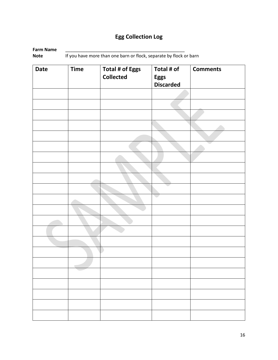# **Egg Collection Log**

| Farm Name |                                                                    |
|-----------|--------------------------------------------------------------------|
| Note      | If you have more than one barn or flock, separate by flock or barn |

| <b>Date</b> | <b>Time</b> | <b>Total # of Eggs</b><br><b>Collected</b> | Total # of<br><b>Eggs</b><br><b>Discarded</b> | <b>Comments</b> |
|-------------|-------------|--------------------------------------------|-----------------------------------------------|-----------------|
|             |             |                                            |                                               |                 |
|             |             |                                            |                                               |                 |
|             |             |                                            |                                               |                 |
|             |             |                                            |                                               |                 |
|             |             |                                            |                                               |                 |
|             |             |                                            |                                               |                 |
|             |             |                                            |                                               |                 |
|             |             |                                            |                                               |                 |
|             |             |                                            |                                               |                 |
|             |             |                                            |                                               |                 |
|             |             |                                            |                                               |                 |
|             |             |                                            |                                               |                 |
|             |             |                                            |                                               |                 |
|             |             |                                            |                                               |                 |
|             |             |                                            |                                               |                 |
|             |             |                                            |                                               |                 |
|             | $\sqrt{2}$  |                                            |                                               |                 |
|             |             |                                            |                                               |                 |
|             |             |                                            |                                               |                 |
|             |             |                                            |                                               |                 |
|             |             |                                            |                                               |                 |
|             |             |                                            |                                               |                 |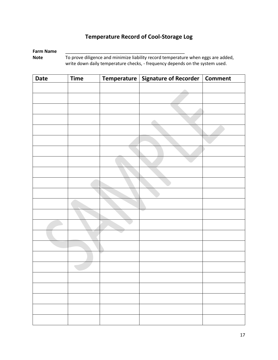# **Temperature Record of Cool-Storage Log**

#### **Farm Name** \_\_\_\_\_\_\_\_\_\_\_\_\_\_\_\_\_\_\_\_\_\_\_\_\_\_\_\_\_\_\_\_\_\_\_\_\_\_\_\_\_\_\_\_\_\_\_\_

Note To prove diligence and minimize liability record temperature when eggs are added, write down daily temperature checks, - frequency depends on the system used.

| <b>Date</b> | <b>Time</b> | Temperature   Signature of Recorder   Comment |  |
|-------------|-------------|-----------------------------------------------|--|
|             |             |                                               |  |
|             |             |                                               |  |
|             |             |                                               |  |
|             |             |                                               |  |
|             |             |                                               |  |
|             |             |                                               |  |
|             |             |                                               |  |
|             |             |                                               |  |
|             |             |                                               |  |
|             |             |                                               |  |
|             |             |                                               |  |
|             |             |                                               |  |
|             |             |                                               |  |
|             |             |                                               |  |
|             |             |                                               |  |
|             |             |                                               |  |
|             |             |                                               |  |
|             |             |                                               |  |
|             |             |                                               |  |
|             |             |                                               |  |
|             |             |                                               |  |
|             |             |                                               |  |
|             |             |                                               |  |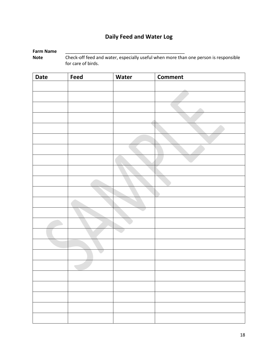# **Daily Feed and Water Log**

# **Farm Name**<br>Note

Check-off feed and water, especially useful when more than one person is responsible for care of birds.

| <b>Date</b> | Feed | Water | <b>Comment</b> |
|-------------|------|-------|----------------|
|             |      |       |                |
|             |      |       |                |
|             |      |       |                |
|             |      |       |                |
|             |      |       |                |
|             |      |       |                |
|             |      |       |                |
|             |      |       |                |
|             |      |       |                |
|             |      |       |                |
|             |      |       |                |
|             |      |       |                |
|             |      |       |                |
|             |      |       |                |
|             |      |       |                |
|             |      |       |                |
|             |      |       |                |
|             |      |       |                |
|             |      |       |                |
|             |      |       |                |
|             |      |       |                |
|             |      |       |                |
|             |      |       |                |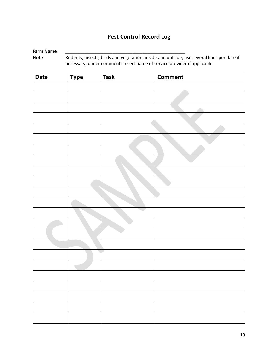## **Pest Control Record Log**

## **Farm Name** \_\_\_\_\_\_\_\_\_\_\_\_\_\_\_\_\_\_\_\_\_\_\_\_\_\_\_\_\_\_\_\_\_\_\_\_\_\_\_\_\_\_\_\_\_\_\_\_

**Note** Rodents, insects, birds and vegetation, inside and outside; use several lines per date if necessary; under comments insert name of service provider if applicable

| <b>Date</b> | <b>Type</b> | <b>Task</b> | Comment |
|-------------|-------------|-------------|---------|
|             |             |             |         |
|             |             |             |         |
|             |             |             |         |
|             |             |             |         |
|             |             |             |         |
|             |             |             |         |
|             |             |             |         |
|             |             |             |         |
|             |             |             |         |
|             |             |             |         |
|             |             |             |         |
|             |             |             |         |
|             |             |             |         |
|             |             |             |         |
|             |             |             |         |
|             |             |             |         |
|             |             |             |         |
|             |             |             |         |
|             |             |             |         |
|             |             |             |         |
|             |             |             |         |
|             |             |             |         |
|             |             |             |         |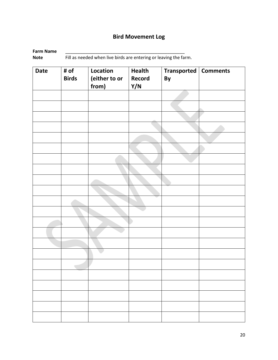# **Bird Movement Log**

**Farm Name**<br>Note

**Note that the North Contract Team Contract Team Contract Team Farm.** Fill as needed when live birds are entering or leaving the farm.

| <b>Date</b> | # of<br><b>Birds</b> | Location<br>(either to or<br>from) | <b>Health</b><br>Record<br>Y/N | Transported   Comments<br>By |  |
|-------------|----------------------|------------------------------------|--------------------------------|------------------------------|--|
|             |                      |                                    |                                |                              |  |
|             |                      |                                    |                                |                              |  |
|             |                      |                                    |                                |                              |  |
|             |                      |                                    |                                |                              |  |
|             |                      |                                    |                                |                              |  |
|             |                      |                                    |                                |                              |  |
|             |                      |                                    |                                |                              |  |
|             |                      |                                    |                                |                              |  |
|             |                      |                                    |                                |                              |  |
|             |                      |                                    |                                |                              |  |
|             |                      |                                    |                                |                              |  |
|             |                      |                                    |                                |                              |  |
|             |                      |                                    |                                |                              |  |
|             |                      |                                    |                                |                              |  |
|             |                      |                                    |                                |                              |  |
|             |                      |                                    |                                |                              |  |
|             |                      |                                    |                                |                              |  |
|             |                      |                                    |                                |                              |  |
|             |                      |                                    |                                |                              |  |
|             |                      |                                    |                                |                              |  |
|             |                      |                                    |                                |                              |  |
|             |                      |                                    |                                |                              |  |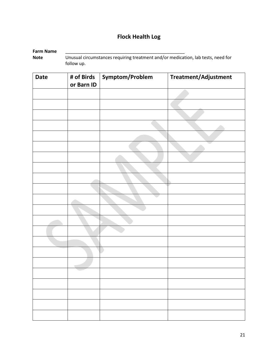# **Flock Health Log**

| Farm Name |                                                                                  |
|-----------|----------------------------------------------------------------------------------|
| Note      | Unusual circumstances requiring treatment and/or medication, lab tests, need for |
|           | follow up.                                                                       |

| <b>Date</b> | # of Birds<br>or Barn ID | Symptom/Problem | Treatment/Adjustment |
|-------------|--------------------------|-----------------|----------------------|
|             |                          |                 |                      |
|             |                          |                 |                      |
|             |                          |                 |                      |
|             |                          |                 |                      |
|             |                          |                 |                      |
|             |                          |                 |                      |
|             |                          |                 |                      |
|             |                          |                 |                      |
|             |                          |                 |                      |
|             |                          |                 |                      |
|             |                          |                 |                      |
|             |                          |                 |                      |
|             |                          |                 |                      |
|             |                          |                 |                      |
|             |                          |                 |                      |
|             |                          |                 |                      |
|             |                          |                 |                      |
|             |                          |                 |                      |
|             |                          |                 |                      |
|             |                          |                 |                      |
|             |                          |                 |                      |
|             |                          |                 |                      |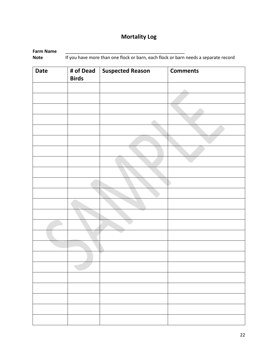# **Mortality Log**

| Farm Name   |                                                                                     |
|-------------|-------------------------------------------------------------------------------------|
| <b>Note</b> | If you have more than one flock or barn, each flock or barn needs a separate record |

| <b>Date</b> | # of Dead<br><b>Birds</b> | <b>Suspected Reason</b> | <b>Comments</b> |
|-------------|---------------------------|-------------------------|-----------------|
|             |                           |                         |                 |
|             |                           |                         |                 |
|             |                           |                         |                 |
|             |                           |                         |                 |
|             |                           |                         |                 |
|             |                           |                         |                 |
|             |                           |                         |                 |
|             |                           |                         |                 |
|             |                           |                         |                 |
|             |                           |                         |                 |
|             |                           |                         |                 |
|             |                           |                         |                 |
|             |                           |                         |                 |
|             |                           |                         |                 |
|             |                           |                         |                 |
|             |                           |                         |                 |
|             |                           |                         |                 |
|             |                           |                         |                 |
|             |                           |                         |                 |
|             |                           |                         |                 |
|             |                           |                         |                 |
|             |                           |                         |                 |
|             |                           |                         |                 |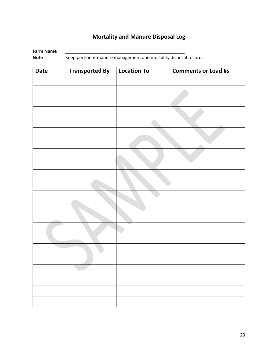# **Mortality and Manure Disposal Log**

| Farm Name |                                                                 |
|-----------|-----------------------------------------------------------------|
| Note      | Keep pertinent manure management and mortality disposal records |

| <b>Date</b> | <b>Transported By</b> | <b>Location To</b> | <b>Comments or Load #s</b> |
|-------------|-----------------------|--------------------|----------------------------|
|             |                       |                    |                            |
|             |                       |                    |                            |
|             |                       |                    |                            |
|             |                       |                    |                            |
|             |                       |                    |                            |
|             |                       |                    |                            |
|             |                       |                    |                            |
|             |                       |                    |                            |
|             |                       |                    |                            |
|             |                       |                    |                            |
|             |                       |                    |                            |
|             |                       |                    |                            |
|             |                       |                    |                            |
|             |                       |                    |                            |
|             |                       |                    |                            |
|             |                       |                    |                            |
|             |                       |                    |                            |
|             |                       |                    |                            |
|             |                       |                    |                            |
|             |                       |                    |                            |
|             |                       |                    |                            |
|             |                       |                    |                            |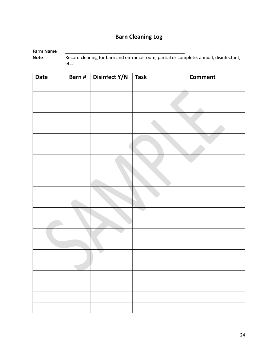# **Barn Cleaning Log**

**Farm Name**<br>Note Record cleaning for barn and entrance room, partial or complete, annual, disinfectant, etc.

| <b>Date</b> | Barn# | Disinfect Y/N | <b>Task</b> | <b>Comment</b> |
|-------------|-------|---------------|-------------|----------------|
|             |       |               |             |                |
|             |       |               |             |                |
|             |       |               |             |                |
|             |       |               |             |                |
|             |       |               |             |                |
|             |       |               |             |                |
|             |       |               |             |                |
|             |       |               |             |                |
|             |       |               |             |                |
|             |       |               |             |                |
|             |       |               |             |                |
|             |       |               |             |                |
|             |       |               |             |                |
|             |       |               |             |                |
|             |       |               |             |                |
|             |       |               |             |                |
|             |       |               |             |                |
|             |       |               |             |                |
|             |       |               |             |                |
|             |       |               |             |                |
|             |       |               |             |                |
|             |       |               |             |                |